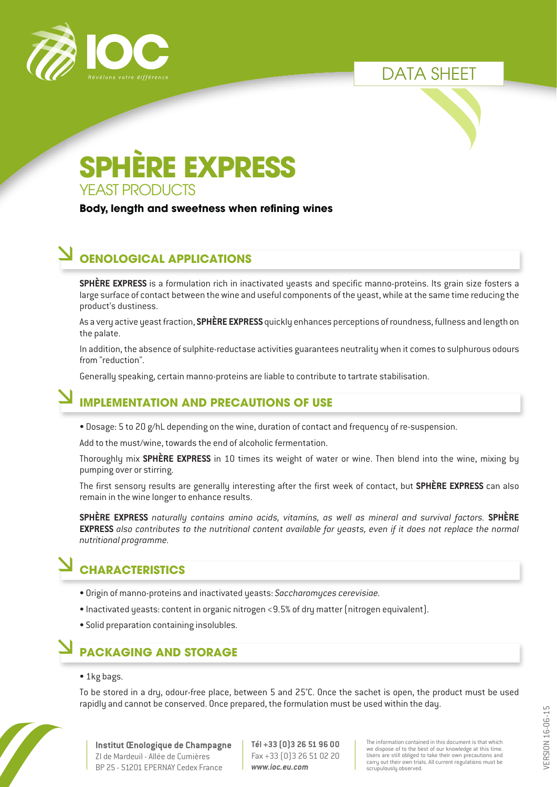



## YEAST PRODUCTS **SPHÈRE EXPRESS**

**Body, length and sweetness when refining wines**

## **OENOLOGICAL APPLICATIONS**

**SPHÈRE EXPRESS** is a formulation rich in inactivated ueasts and specific manno-proteins. Its grain size fosters a large surface of contact between the wine and useful components of the yeast, while at the same time reducing the product's dustiness.

As a very active yeast fraction, **SPHÈRE EXPRESS** quickly enhances perceptions of roundness, fullness and length on the palate.

In addition, the absence of sulphite-reductase activities guarantees neutrality when it comes to sulphurous odours from "reduction".

Generally speaking, certain manno-proteins are liable to contribute to tartrate stabilisation.

## **IMPLEMENTATION AND PRECAUTIONS OF USE**

• Dosage: 5 to 20 g/hL depending on the wine, duration of contact and frequency of re-suspension.

Add to the must/wine, towards the end of alcoholic fermentation.

Thoroughly mix **SPHÈRE EXPRESS** in 10 times its weight of water or wine. Then blend into the wine, mixing by pumping over or stirring.

The first sensory results are generally interesting after the first week of contact, but **SPHÈRE EXPRESS** can also remain in the wine longer to enhance results.

**SPHÈRE EXPRESS** *naturally contains amino acids, vitamins, as well as mineral and survival factors.* **SPHÈRE EXPRESS** also contributes to the nutritional content available for yeasts, even if it does not replace the normal *nutritional programme.*

## **CHARACTERISTICS**

- Origin of manno-proteins and inactivated yeasts: *Saccharomyces cerevisiae.*
- Inactivated yeasts: content in organic nitrogen <9.5% of dry matter (nitrogen equivalent).
- Solid preparation containing insolubles.

## **PACKAGING AND STORAGE**

#### • 1kg bags.

To be stored in a dry, odour-free place, between 5 and 25°C. Once the sachet is open, the product must be used rapidly and cannot be conserved. Once prepared, the formulation must be used within the day.



**Institut Œnologique de Champagne** ZI de Mardeuil - Allée de Cumières BP 25 - 51201 EPERNAY Cedex France

**Tél +33 (0)3 26 51 96 00** Fax +33 (0)3 26 51 02 20 *www.ioc.eu.com*

The information contained in this document is that which we dispose of to the best of our knowledge at this time. Users are still obliged to take their own precautions and carry out their own trials. All current regulations must be scrupulously observed.